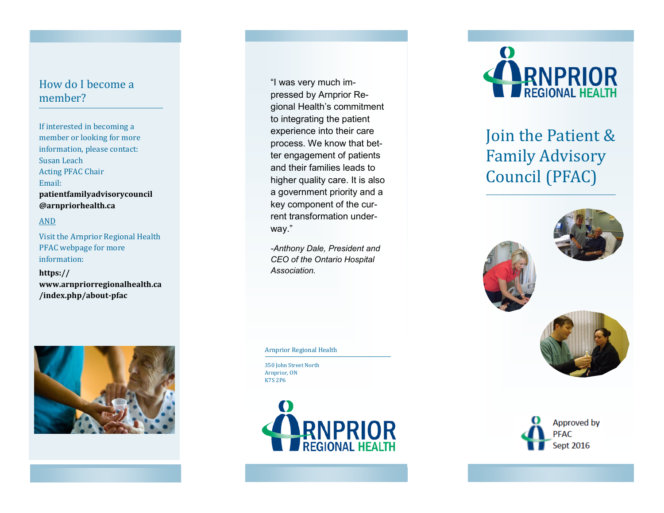#### How do I become a member?

If interested in becoming a member or looking for more information, please contact: Susan Leach Acting PFAC Chair Email: **patientfamilyadvisorycouncil @arnpriorhealth.ca** 

#### AND

Visit the Arnprior Regional Health PFAC webpage for more information:

**https:// www.arnpriorregionalhealth.ca /index.php/about -pfac** 



"I was very much impressed by Arnprior Regional Health's commitment to integrating the patient experience into their care process. We know that better engagement of patients and their families leads to higher quality care. It is also a government priority and a key component of the current transformation underway."

*-Anthony Dale, President and CEO of the Ontario Hospital Association.*

Arnprior Regional Health

350 John Street North Arnprior, ON K7S 2P6





# Join the Patient & Family Advisory Council (PFAC)